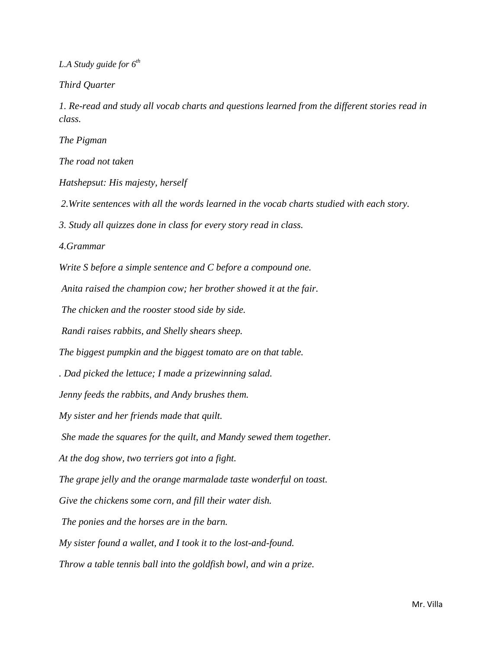*L.A Study guide for 6th*

*Third Quarter* 

*1. Re-read and study all vocab charts and questions learned from the different stories read in class.*

*The Pigman* 

*The road not taken*

*Hatshepsut: His majesty, herself*

*2.Write sentences with all the words learned in the vocab charts studied with each story.*

*3. Study all quizzes done in class for every story read in class.*

*4.Grammar*

*Write S before a simple sentence and C before a compound one.*

*Anita raised the champion cow; her brother showed it at the fair.*

*The chicken and the rooster stood side by side.*

*Randi raises rabbits, and Shelly shears sheep.*

*The biggest pumpkin and the biggest tomato are on that table.*

*. Dad picked the lettuce; I made a prizewinning salad.*

*Jenny feeds the rabbits, and Andy brushes them.*

*My sister and her friends made that quilt.*

*She made the squares for the quilt, and Mandy sewed them together.*

*At the dog show, two terriers got into a fight.*

*The grape jelly and the orange marmalade taste wonderful on toast.*

*Give the chickens some corn, and fill their water dish.*

*The ponies and the horses are in the barn.*

*My sister found a wallet, and I took it to the lost-and-found.*

*Throw a table tennis ball into the goldfish bowl, and win a prize.*